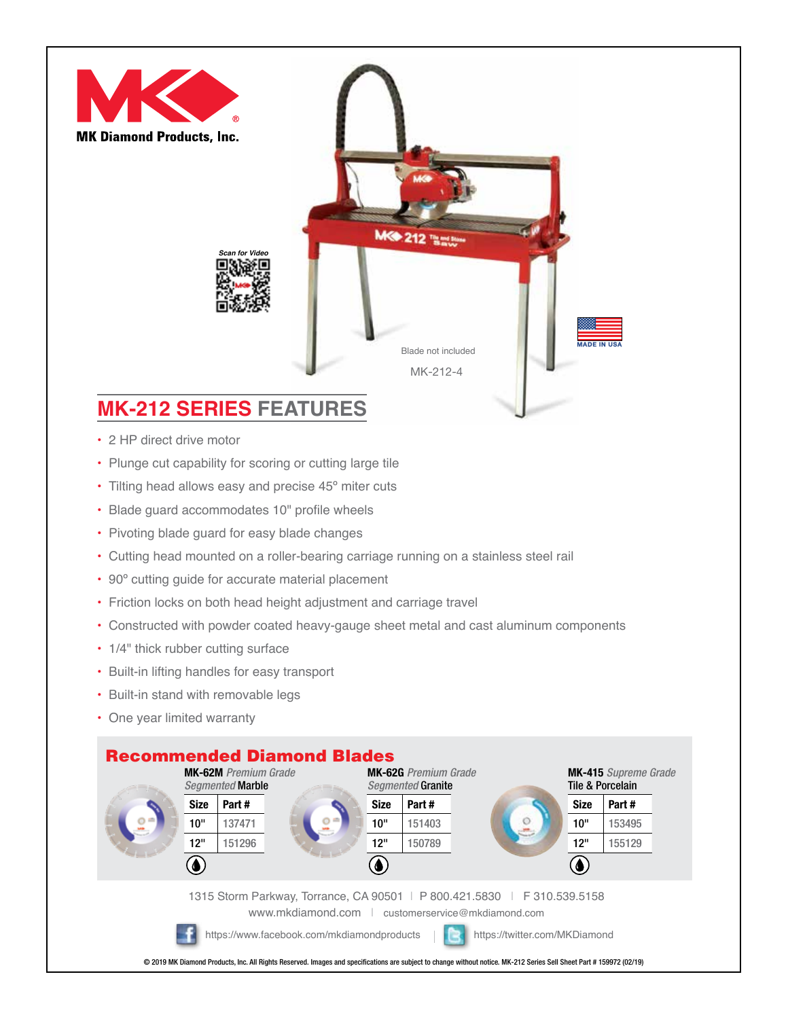

## **MK-212 SERIES FEATURES**

- 2 HP direct drive motor
- Plunge cut capability for scoring or cutting large tile
- Tilting head allows easy and precise 45° miter cuts
- Blade guard accommodates 10" profile wheels
- Pivoting blade guard for easy blade changes
- Cutting head mounted on a roller-bearing carriage running on a stainless steel rail
- 90º cutting guide for accurate material placement
- Friction locks on both head height adjustment and carriage travel
- Constructed with powder coated heavy-gauge sheet metal and cast aluminum components
- 1/4" thick rubber cutting surface
- Built-in lifting handles for easy transport
- Built-in stand with removable legs
- One year limited warranty